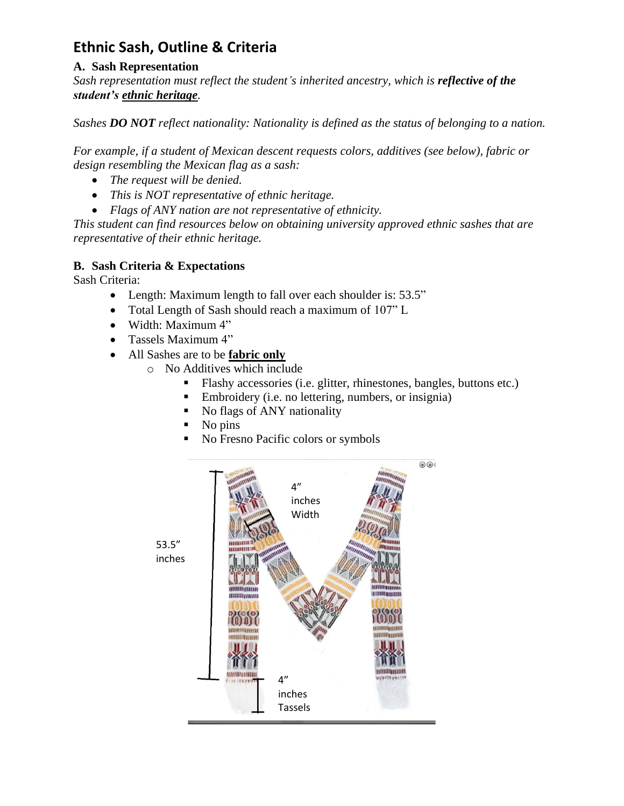## **Ethnic Sash, Outline & Criteria**

## **A. Sash Representation**

*Sash representation must reflect the student's inherited ancestry, which is reflective of the student's ethnic heritage.* 

*Sashes DO NOT reflect nationality: Nationality is defined as the status of belonging to a nation.*

*For example, if a student of Mexican descent requests colors, additives (see below), fabric or design resembling the Mexican flag as a sash:*

- *The request will be denied.*
- *This is NOT representative of ethnic heritage.*
- *Flags of ANY nation are not representative of ethnicity.*

*This student can find resources below on obtaining university approved ethnic sashes that are representative of their ethnic heritage.* 

## **B. Sash Criteria & Expectations**

Sash Criteria:

- Length: Maximum length to fall over each shoulder is: 53.5"
- Total Length of Sash should reach a maximum of 107" L
- Width: Maximum 4"
- Tassels Maximum 4"
- All Sashes are to be **fabric only**
	- o No Additives which include
		- Flashy accessories (i.e. glitter, rhinestones, bangles, buttons etc.)
		- Embroidery (i.e. no lettering, numbers, or insignia)
		- No flags of ANY nationality
		- No pins
		- No Fresno Pacific colors or symbols